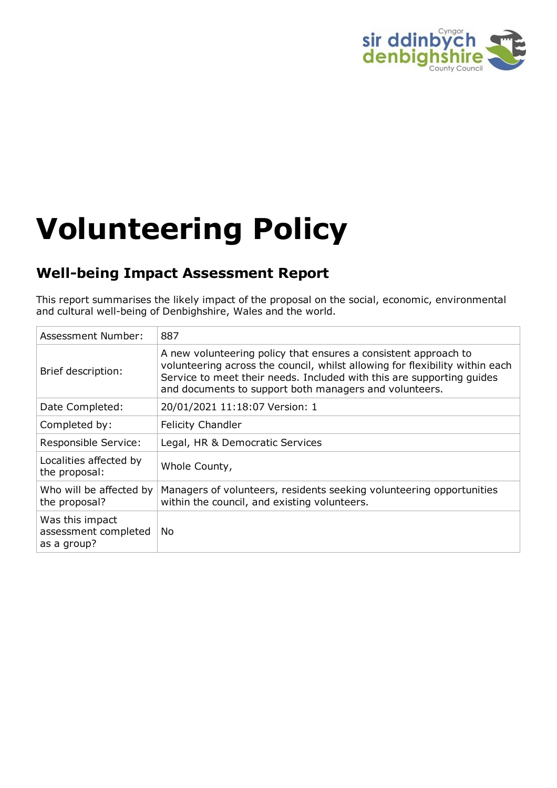

# **Volunteering Policy**

# **Well-being Impact Assessment Report**

This report summarises the likely impact of the proposal on the social, economic, environmental and cultural well-being of Denbighshire, Wales and the world.

| Assessment Number:                                     | 887                                                                                                                                                                                                                                                                                |
|--------------------------------------------------------|------------------------------------------------------------------------------------------------------------------------------------------------------------------------------------------------------------------------------------------------------------------------------------|
| Brief description:                                     | A new volunteering policy that ensures a consistent approach to<br>volunteering across the council, whilst allowing for flexibility within each<br>Service to meet their needs. Included with this are supporting guides<br>and documents to support both managers and volunteers. |
| Date Completed:                                        | 20/01/2021 11:18:07 Version: 1                                                                                                                                                                                                                                                     |
| Completed by:                                          | <b>Felicity Chandler</b>                                                                                                                                                                                                                                                           |
| Responsible Service:                                   | Legal, HR & Democratic Services                                                                                                                                                                                                                                                    |
| Localities affected by<br>the proposal:                | Whole County,                                                                                                                                                                                                                                                                      |
| Who will be affected by<br>the proposal?               | Managers of volunteers, residents seeking volunteering opportunities<br>within the council, and existing volunteers.                                                                                                                                                               |
| Was this impact<br>assessment completed<br>as a group? | No.                                                                                                                                                                                                                                                                                |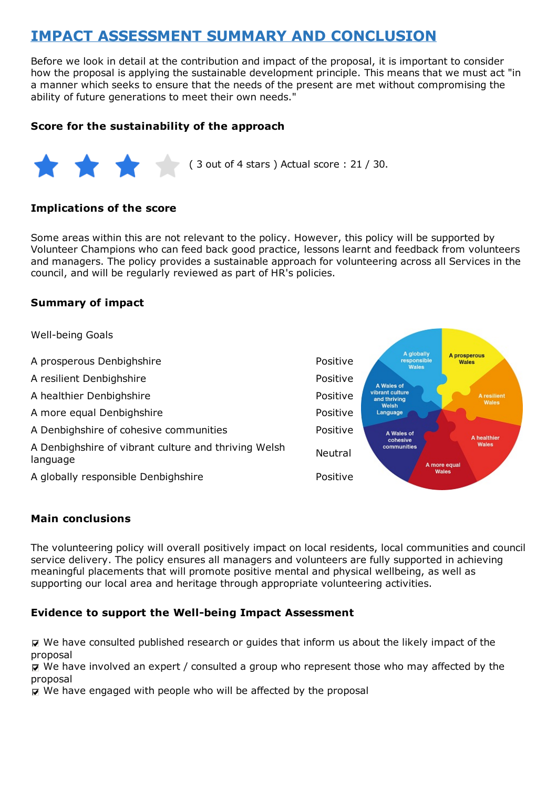# **IMPACT ASSESSMENT SUMMARY AND CONCLUSION**

Before we look in detail at the contribution and impact of the proposal, it is important to consider how the proposal is applying the sustainable development principle. This means that we must act "in a manner which seeks to ensure that the needs of the present are met without compromising the ability of future generations to meet their own needs."

#### **Score for the sustainability of the approach**



#### **Implications of the score**

Some areas within this are not relevant to the policy. However, this policy will be supported by Volunteer Champions who can feed back good practice, lessons learnt and feedback from volunteers and managers. The policy provides a sustainable approach for volunteering across all Services in the council, and will be regularly reviewed as part of HR's policies.

#### **Summary of impact**

Well-being Goals A globally<br>responsible A prosperous A prosperous Denbighshire **Positive** Positive Wales .<br>Wales A resilient Denbighshire **Positive** Positive A Wales of vibrant culture<br>and thriving A healthier Denbighshire **Positive** Positive Welsh Language A more equal Denbighshire **Positive** Positive A Denbighshire of cohesive communities **Positive** Positive A Wales of A healthier cohesive Wales A Denbighshire of vibrant culture and thriving Welsh communities Neutral language A more equal Wales A globally responsible Denbighshire **A** globally responsible Denbighshire

#### **Main conclusions**

The volunteering policy will overall positively impact on local residents, local communities and council service delivery. The policy ensures all managers and volunteers are fully supported in achieving meaningful placements that will promote positive mental and physical wellbeing, as well as supporting our local area and heritage through appropriate volunteering activities.

#### **Evidence to support the Well-being Impact Assessment**

We have consulted published research or guides that inform us about the likely impact of the proposal

We have involved an expert / consulted a group who represent those who may affected by the proposal

 $\nabla$  We have engaged with people who will be affected by the proposal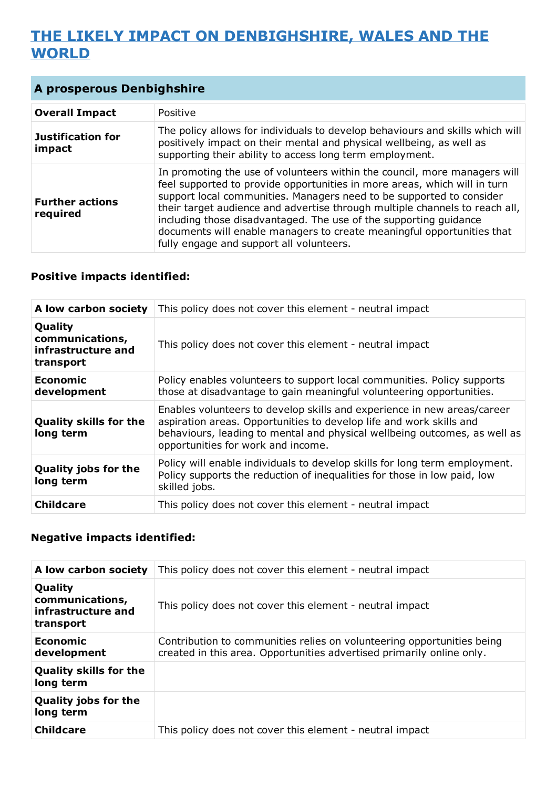# **THE LIKELY IMPACT ON DENBIGHSHIRE, WALES AND THE WORLD**

| <b>A prosperous Denbighshire</b>   |                                                                                                                                                                                                                                                                                                                                                                                                                                                                                                          |
|------------------------------------|----------------------------------------------------------------------------------------------------------------------------------------------------------------------------------------------------------------------------------------------------------------------------------------------------------------------------------------------------------------------------------------------------------------------------------------------------------------------------------------------------------|
| <b>Overall Impact</b>              | Positive                                                                                                                                                                                                                                                                                                                                                                                                                                                                                                 |
| <b>Justification for</b><br>impact | The policy allows for individuals to develop behaviours and skills which will<br>positively impact on their mental and physical wellbeing, as well as<br>supporting their ability to access long term employment.                                                                                                                                                                                                                                                                                        |
| <b>Further actions</b><br>required | In promoting the use of volunteers within the council, more managers will<br>feel supported to provide opportunities in more areas, which will in turn<br>support local communities. Managers need to be supported to consider<br>their target audience and advertise through multiple channels to reach all,<br>including those disadvantaged. The use of the supporting guidance<br>documents will enable managers to create meaningful opportunities that<br>fully engage and support all volunteers. |

### **Positive impacts identified:**

| A low carbon society                                          | This policy does not cover this element - neutral impact                                                                                                                                                                                                          |
|---------------------------------------------------------------|-------------------------------------------------------------------------------------------------------------------------------------------------------------------------------------------------------------------------------------------------------------------|
| Quality<br>communications,<br>infrastructure and<br>transport | This policy does not cover this element - neutral impact                                                                                                                                                                                                          |
| <b>Economic</b><br>development                                | Policy enables volunteers to support local communities. Policy supports<br>those at disadvantage to gain meaningful volunteering opportunities.                                                                                                                   |
| <b>Quality skills for the</b><br>long term                    | Enables volunteers to develop skills and experience in new areas/career<br>aspiration areas. Opportunities to develop life and work skills and<br>behaviours, leading to mental and physical wellbeing outcomes, as well as<br>opportunities for work and income. |
| <b>Quality jobs for the</b><br>long term                      | Policy will enable individuals to develop skills for long term employment.<br>Policy supports the reduction of inequalities for those in low paid, low<br>skilled jobs.                                                                                           |
| <b>Childcare</b>                                              | This policy does not cover this element - neutral impact                                                                                                                                                                                                          |

| A low carbon society                                          | This policy does not cover this element - neutral impact                                                                                        |
|---------------------------------------------------------------|-------------------------------------------------------------------------------------------------------------------------------------------------|
| Quality<br>communications,<br>infrastructure and<br>transport | This policy does not cover this element - neutral impact                                                                                        |
| Economic<br>development                                       | Contribution to communities relies on volunteering opportunities being<br>created in this area. Opportunities advertised primarily online only. |
| <b>Quality skills for the</b><br>long term                    |                                                                                                                                                 |
| <b>Quality jobs for the</b><br>long term                      |                                                                                                                                                 |
| <b>Childcare</b>                                              | This policy does not cover this element - neutral impact                                                                                        |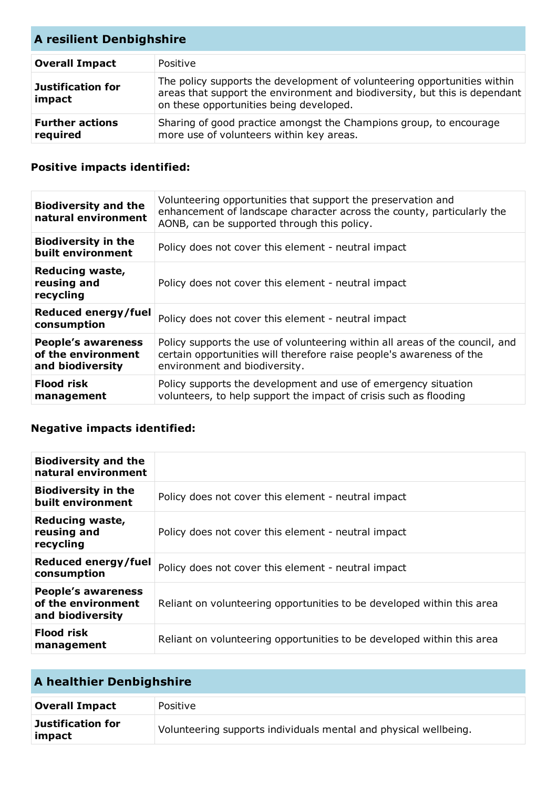| <b>A resilient Denbighshire</b>    |                                                                                                                                                                                                   |
|------------------------------------|---------------------------------------------------------------------------------------------------------------------------------------------------------------------------------------------------|
| <b>Overall Impact</b>              | Positive                                                                                                                                                                                          |
| <b>Justification for</b><br>impact | The policy supports the development of volunteering opportunities within<br>areas that support the environment and biodiversity, but this is dependant<br>on these opportunities being developed. |
| <b>Further actions</b><br>required | Sharing of good practice amongst the Champions group, to encourage<br>more use of volunteers within key areas.                                                                                    |

## **Positive impacts identified:**

| <b>Biodiversity and the</b><br>natural environment                  | Volunteering opportunities that support the preservation and<br>enhancement of landscape character across the county, particularly the<br>AONB, can be supported through this policy. |
|---------------------------------------------------------------------|---------------------------------------------------------------------------------------------------------------------------------------------------------------------------------------|
| <b>Biodiversity in the</b><br>built environment                     | Policy does not cover this element - neutral impact                                                                                                                                   |
| Reducing waste,<br>reusing and<br>recycling                         | Policy does not cover this element - neutral impact                                                                                                                                   |
| Reduced energy/fuel<br>consumption                                  | Policy does not cover this element - neutral impact                                                                                                                                   |
| <b>People's awareness</b><br>of the environment<br>and biodiversity | Policy supports the use of volunteering within all areas of the council, and<br>certain opportunities will therefore raise people's awareness of the<br>environment and biodiversity. |
| <b>Flood risk</b><br>management                                     | Policy supports the development and use of emergency situation<br>volunteers, to help support the impact of crisis such as flooding                                                   |

| <b>Biodiversity and the</b><br>natural environment                  |                                                                        |
|---------------------------------------------------------------------|------------------------------------------------------------------------|
| <b>Biodiversity in the</b><br>built environment                     | Policy does not cover this element - neutral impact                    |
| Reducing waste,<br>reusing and<br>recycling                         | Policy does not cover this element - neutral impact                    |
| Reduced energy/fuel<br>consumption                                  | Policy does not cover this element - neutral impact                    |
| <b>People's awareness</b><br>of the environment<br>and biodiversity | Reliant on volunteering opportunities to be developed within this area |
| <b>Flood risk</b><br>management                                     | Reliant on volunteering opportunities to be developed within this area |

| A healthier Denbighshire    |                                                                  |
|-----------------------------|------------------------------------------------------------------|
| <b>Overall Impact</b>       | Positive                                                         |
| Justification for<br>impact | Volunteering supports individuals mental and physical wellbeing. |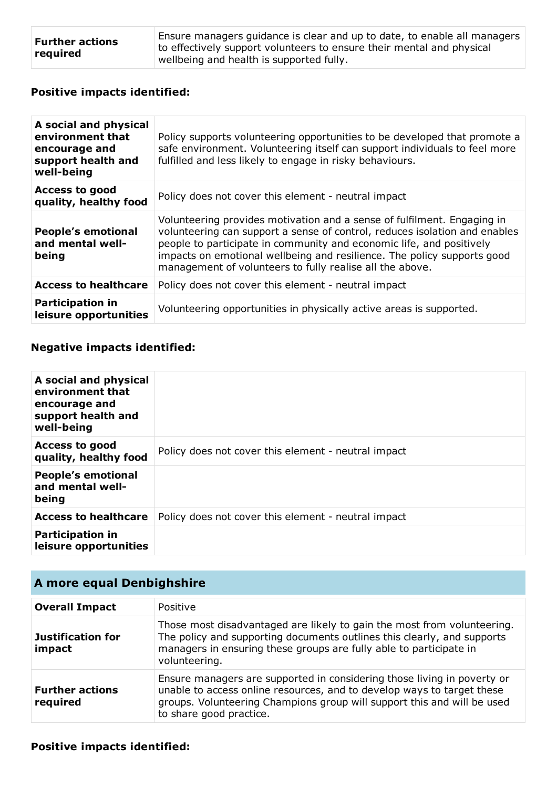| <b>Further actions</b><br>required | Ensure managers guidance is clear and up to date, to enable all managers |
|------------------------------------|--------------------------------------------------------------------------|
|                                    | to effectively support volunteers to ensure their mental and physical    |
|                                    | wellbeing and health is supported fully.                                 |

## **Positive impacts identified:**

| A social and physical<br>environment that<br>encourage and<br>support health and<br>well-being | Policy supports volunteering opportunities to be developed that promote a<br>safe environment. Volunteering itself can support individuals to feel more<br>fulfilled and less likely to engage in risky behaviours.                                                                                                                                                  |
|------------------------------------------------------------------------------------------------|----------------------------------------------------------------------------------------------------------------------------------------------------------------------------------------------------------------------------------------------------------------------------------------------------------------------------------------------------------------------|
| <b>Access to good</b><br>quality, healthy food                                                 | Policy does not cover this element - neutral impact                                                                                                                                                                                                                                                                                                                  |
| <b>People's emotional</b><br>and mental well-<br>being                                         | Volunteering provides motivation and a sense of fulfilment. Engaging in<br>volunteering can support a sense of control, reduces isolation and enables<br>people to participate in community and economic life, and positively<br>impacts on emotional wellbeing and resilience. The policy supports good<br>management of volunteers to fully realise all the above. |
| <b>Access to healthcare</b>                                                                    | Policy does not cover this element - neutral impact                                                                                                                                                                                                                                                                                                                  |
| <b>Participation in</b><br>leisure opportunities                                               | Volunteering opportunities in physically active areas is supported.                                                                                                                                                                                                                                                                                                  |

| A social and physical<br>environment that<br>encourage and<br>support health and<br>well-being |                                                     |
|------------------------------------------------------------------------------------------------|-----------------------------------------------------|
| <b>Access to good</b><br>quality, healthy food                                                 | Policy does not cover this element - neutral impact |
| <b>People's emotional</b><br>and mental well-<br>being                                         |                                                     |
| <b>Access to healthcare</b>                                                                    | Policy does not cover this element - neutral impact |
| <b>Participation in</b><br>leisure opportunities                                               |                                                     |

| A more equal Denbighshire          |                                                                                                                                                                                                                                                         |
|------------------------------------|---------------------------------------------------------------------------------------------------------------------------------------------------------------------------------------------------------------------------------------------------------|
| <b>Overall Impact</b>              | Positive                                                                                                                                                                                                                                                |
| <b>Justification for</b><br>impact | Those most disadvantaged are likely to gain the most from volunteering.<br>The policy and supporting documents outlines this clearly, and supports<br>managers in ensuring these groups are fully able to participate in<br>volunteering.               |
| <b>Further actions</b><br>required | Ensure managers are supported in considering those living in poverty or<br>unable to access online resources, and to develop ways to target these<br>groups. Volunteering Champions group will support this and will be used<br>to share good practice. |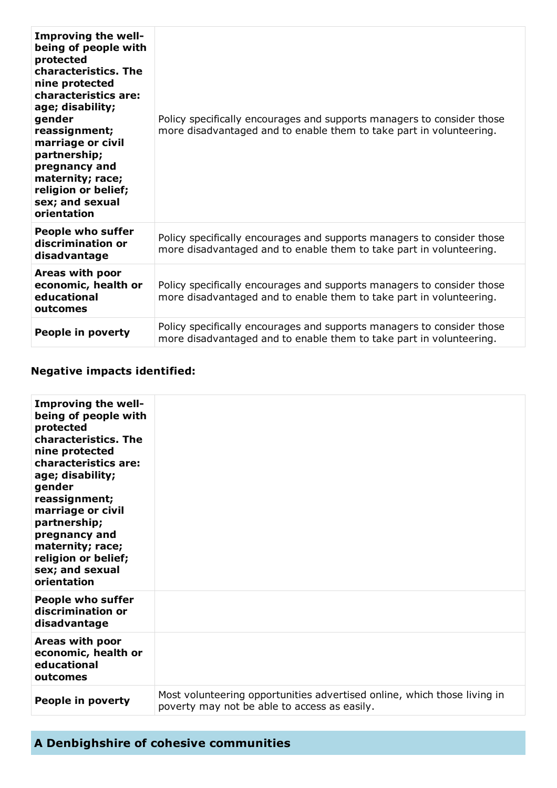| <b>Improving the well-</b><br>being of people with<br>protected<br>characteristics. The<br>nine protected<br>characteristics are:<br>age; disability;<br>gender<br>reassignment;<br>marriage or civil<br>partnership;<br>pregnancy and<br>maternity; race;<br>religion or belief;<br>sex; and sexual<br>orientation | Policy specifically encourages and supports managers to consider those<br>more disadvantaged and to enable them to take part in volunteering. |
|---------------------------------------------------------------------------------------------------------------------------------------------------------------------------------------------------------------------------------------------------------------------------------------------------------------------|-----------------------------------------------------------------------------------------------------------------------------------------------|
| <b>People who suffer</b><br>discrimination or<br>disadvantage                                                                                                                                                                                                                                                       | Policy specifically encourages and supports managers to consider those<br>more disadvantaged and to enable them to take part in volunteering. |
| Areas with poor<br>economic, health or<br>educational<br>outcomes                                                                                                                                                                                                                                                   | Policy specifically encourages and supports managers to consider those<br>more disadvantaged and to enable them to take part in volunteering. |
| People in poverty                                                                                                                                                                                                                                                                                                   | Policy specifically encourages and supports managers to consider those<br>more disadvantaged and to enable them to take part in volunteering. |

| <b>Improving the well-</b><br>being of people with<br>protected<br>characteristics. The<br>nine protected<br>characteristics are:<br>age; disability;<br>gender<br>reassignment;<br>marriage or civil<br>partnership;<br>pregnancy and<br>maternity; race;<br>religion or belief;<br>sex; and sexual<br>orientation |                                                                                                                          |
|---------------------------------------------------------------------------------------------------------------------------------------------------------------------------------------------------------------------------------------------------------------------------------------------------------------------|--------------------------------------------------------------------------------------------------------------------------|
| <b>People who suffer</b><br>discrimination or<br>disadvantage                                                                                                                                                                                                                                                       |                                                                                                                          |
| Areas with poor<br>economic, health or<br>educational<br>outcomes                                                                                                                                                                                                                                                   |                                                                                                                          |
| People in poverty                                                                                                                                                                                                                                                                                                   | Most volunteering opportunities advertised online, which those living in<br>poverty may not be able to access as easily. |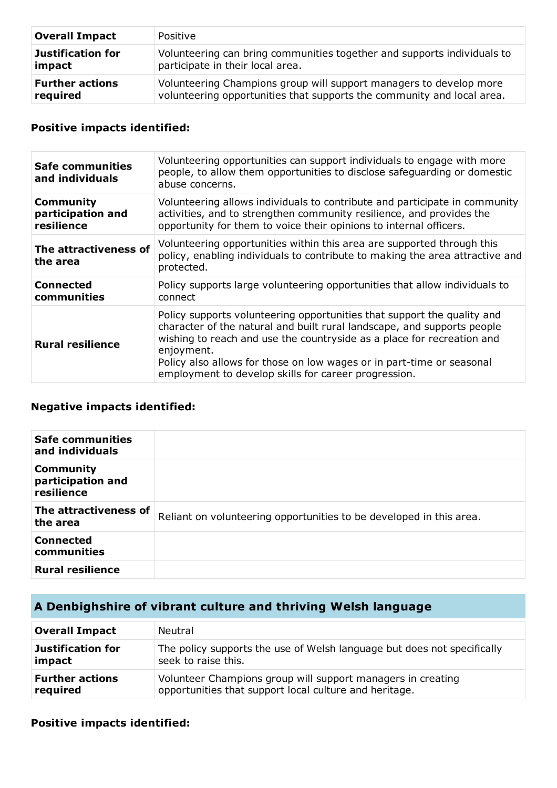| <b>Overall Impact</b>    | Positive                                                                |
|--------------------------|-------------------------------------------------------------------------|
| <b>Justification for</b> | Volunteering can bring communities together and supports individuals to |
| impact                   | participate in their local area.                                        |
| <b>Further actions</b>   | Volunteering Champions group will support managers to develop more      |
| required                 | volunteering opportunities that supports the community and local area.  |

#### **Positive impacts identified:**

| <b>Safe communities</b><br>and individuals          | Volunteering opportunities can support individuals to engage with more<br>people, to allow them opportunities to disclose safeguarding or domestic<br>abuse concerns.                                                                                                                                                                                                       |
|-----------------------------------------------------|-----------------------------------------------------------------------------------------------------------------------------------------------------------------------------------------------------------------------------------------------------------------------------------------------------------------------------------------------------------------------------|
| <b>Community</b><br>participation and<br>resilience | Volunteering allows individuals to contribute and participate in community<br>activities, and to strengthen community resilience, and provides the<br>opportunity for them to voice their opinions to internal officers.                                                                                                                                                    |
| The attractiveness of<br>the area                   | Volunteering opportunities within this area are supported through this<br>policy, enabling individuals to contribute to making the area attractive and<br>protected.                                                                                                                                                                                                        |
| <b>Connected</b><br>communities                     | Policy supports large volunteering opportunities that allow individuals to<br>connect                                                                                                                                                                                                                                                                                       |
| <b>Rural resilience</b>                             | Policy supports volunteering opportunities that support the quality and<br>character of the natural and built rural landscape, and supports people<br>wishing to reach and use the countryside as a place for recreation and<br>enjoyment.<br>Policy also allows for those on low wages or in part-time or seasonal<br>employment to develop skills for career progression. |

### **Negative impacts identified:**

| <b>Safe communities</b><br>and individuals          |                                                                     |
|-----------------------------------------------------|---------------------------------------------------------------------|
| <b>Community</b><br>participation and<br>resilience |                                                                     |
| The attractiveness of<br>the area                   | Reliant on volunteering opportunities to be developed in this area. |
| <b>Connected</b><br>communities                     |                                                                     |
| <b>Rural resilience</b>                             |                                                                     |

# **A Denbighshire of vibrant culture and thriving Welsh language**

| <b>Overall Impact</b>    | Neutral                                                                 |
|--------------------------|-------------------------------------------------------------------------|
| <b>Justification for</b> | The policy supports the use of Welsh language but does not specifically |
| impact                   | seek to raise this.                                                     |
| <b>Further actions</b>   | Volunteer Champions group will support managers in creating             |
| required                 | opportunities that support local culture and heritage.                  |

#### **Positive impacts identified:**